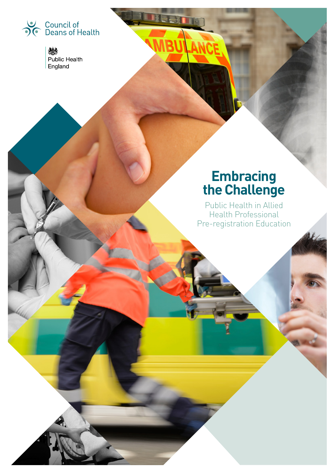

**参**<br>Public Health<br>England

## **Embracing the Challenge**

Public Health in Allied Health Professional Pre-registration Education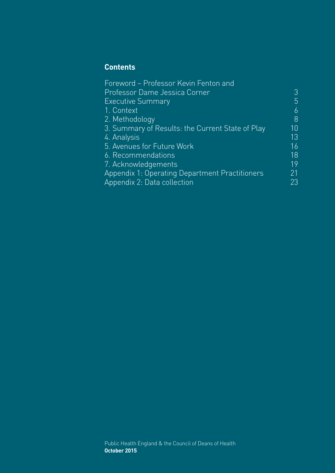## **Contents**

| Foreword - Professor Kevin Fenton and                 |                |
|-------------------------------------------------------|----------------|
| Professor Dame Jessica Corner                         | 3              |
| <b>Executive Summary</b>                              | 5              |
| 1. Context                                            | $\overline{6}$ |
| 2. Methodology                                        | 8              |
| 3. Summary of Results: the Current State of Play      | 10             |
| 4. Analysis                                           | 13             |
| 5. Avenues for Future Work                            | 16             |
| 6. Recommendations                                    | 18             |
| 7. Acknowledgements                                   | 19             |
| <b>Appendix 1: Operating Department Practitioners</b> | 21             |
| Appendix 2: Data collection                           | 23             |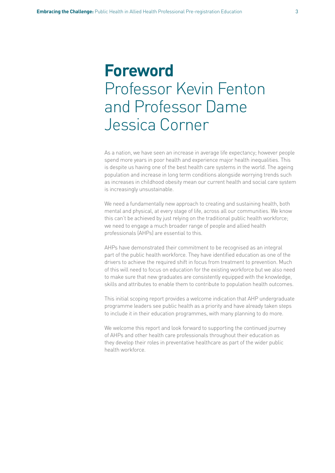## **Foreword** Professor Kevin Fenton and Professor Dame Jessica Corner

As a nation, we have seen an increase in average life expectancy; however people spend more years in poor health and experience major health inequalities. This is despite us having one of the best health care systems in the world. The ageing population and increase in long term conditions alongside worrying trends such as increases in childhood obesity mean our current health and social care system is increasingly unsustainable.

We need a fundamentally new approach to creating and sustaining health, both mental and physical, at every stage of life, across all our communities. We know this can't be achieved by just relying on the traditional public health workforce; we need to engage a much broader range of people and allied health professionals (AHPs) are essential to this.

AHPs have demonstrated their commitment to be recognised as an integral part of the public health workforce. They have identified education as one of the drivers to achieve the required shift in focus from treatment to prevention. Much of this will need to focus on education for the existing workforce but we also need to make sure that new graduates are consistently equipped with the knowledge, skills and attributes to enable them to contribute to population health outcomes.

This initial scoping report provides a welcome indication that AHP undergraduate programme leaders see public health as a priority and have already taken steps to include it in their education programmes, with many planning to do more.

We welcome this report and look forward to supporting the continued journey of AHPs and other health care professionals throughout their education as they develop their roles in preventative healthcare as part of the wider public health workforce.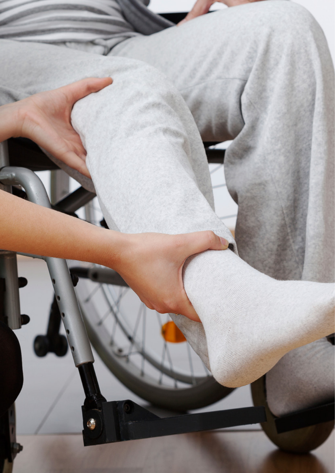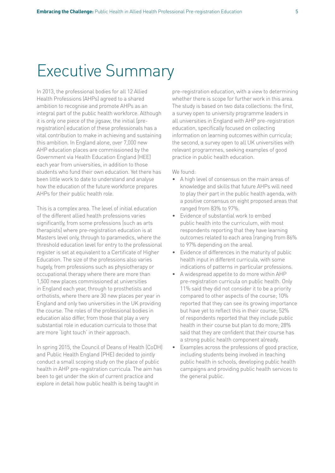## Executive Summary

In 2013, the professional bodies for all 12 Allied Health Professions (AHPs) agreed to a shared ambition to recognise and promote AHPs as an integral part of the public health workforce. Although it is only one piece of the jigsaw, the initial (preregistration) education of these professionals has a vital contribution to make in achieving and sustaining this ambition. In England alone, over 7,000 new AHP education places are commissioned by the Government via Health Education England (HEE) each year from universities, in addition to those students who fund their own education. Yet there has been little work to date to understand and analyse how the education of the future workforce prepares AHPs for their public health role.

This is a complex area. The level of initial education of the different allied health professions varies significantly, from some professions (such as arts therapists) where pre-registration education is at Masters level only, through to paramedics, where the threshold education level for entry to the professional register is set at equivalent to a Certificate of Higher Education. The size of the professions also varies hugely, from professions such as physiotherapy or occupational therapy where there are more than 1,500 new places commissioned at universities in England each year, through to prosthetists and orthotists, where there are 30 new places per year in England and only two universities in the UK providing the course. The roles of the professional bodies in education also differ, from those that play a very substantial role in education curricula to those that are more 'light touch' in their approach.

In spring 2015, the Council of Deans of Health (CoDH) and Public Health England (PHE) decided to jointly conduct a small scoping study on the place of public health in AHP pre-registration curricula. The aim has been to get under the skin of current practice and explore in detail how public health is being taught in

pre-registration education, with a view to determining whether there is scope for further work in this area. The study is based on two data collections: the first, a survey open to university programme leaders in all universities in England with AHP pre-registration education, specifically focused on collecting information on learning outcomes within curricula; the second, a survey open to all UK universities with relevant programmes, seeking examples of good practice in public health education.

We found:

- A high level of consensus on the main areas of knowledge and skills that future AHPs will need to play their part in the public health agenda, with a positive consensus on eight proposed areas that ranged from 83% to 97%.
- Evidence of substantial work to embed public health into the curriculum, with most respondents reporting that they have learning outcomes related to each area (ranging from 86% to 97% depending on the area).
- Evidence of differences in the maturity of public health input in different curricula, with some indications of patterns in particular professions.
- • A widespread appetite to do more within AHP pre-registration curricula on public health. Only 11% said they did not consider it to be a priority compared to other aspects of the course; 10% reported that they can see its growing importance but have yet to reflect this in their course; 52% of respondents reported that they include public health in their course but plan to do more; 28% said that they are confident that their course has a strong public health component already.
- • Examples across the professions of good practice, including students being involved in teaching public health in schools, developing public health campaigns and providing public health services to the general public.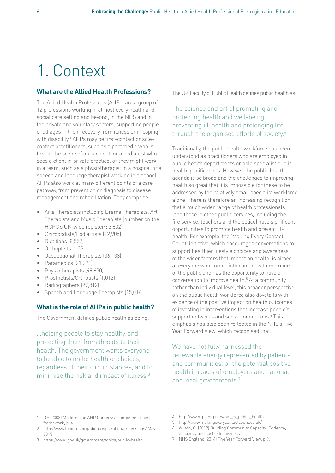## 1. Context

## **What are the Allied Health Professions?**

The Allied Health Professions (AHPs) are a group of 12 professions working in almost every health and social care setting and beyond, in the NHS and in the private and voluntary sectors, supporting people of all ages in their recovery from illness or in coping with disability.<sup>1</sup> AHPs may be first-contact or solecontact practitioners, such as a paramedic who is first at the scene of an accident, or a podiatrist who sees a client in private practice; or they might work in a team, such as a physiotherapist in a hospital or a speech and language therapist working in a school. AHPs also work at many different points of a care pathway, from prevention or diagnosis to disease management and rehabilitation. They comprise:

- Arts Therapists including Drama Therapists, Art Therapists and Music Therapists (number on the HCPC's UK-wide register<sup>2</sup>: 3,632)
- Chiropodists/Podiatrists (12,905)
- • Dietitians (8,557)
- Orthoptists (1,381)
- • Occupational Therapists (36,138)
- Paramedics (21,271)
- Physiotherapists (49,630)
- Prosthetists/Orthotists (1.012)
- Radiographers (29,812)
- Speech and Language Therapists (15,016)

## **What is the role of AHPs in public health?**

The Government defines public health as being:

…helping people to stay healthy, and protecting them from threats to their health. The government wants everyone to be able to make healthier choices, regardless of their circumstances, and to minimise the risk and impact of illness.3

The UK Faculty of Public Health defines public health as:

The science and art of promoting and protecting health and well-being, preventing ill-health and prolonging life through the organised efforts of society.4

Traditionally, the public health workforce has been understood as practitioners who are employed in public health departments or hold specialist public health qualifications. However, the public health agenda is so broad and the challenges to improving health so great that it is impossible for these to be addressed by the relatively small specialist workforce alone. There is therefore an increasing recognition that a much wider range of health professionals (and those in other public services, including the fire service, teachers and the police) have significant opportunities to promote health and prevent illhealth. For example, the 'Making Every Contact Count' initiative, which encourages conversations to support healthier lifestyle choices and awareness of the wider factors that impact on health, is aimed at everyone who comes into contact with members of the public and has the opportunity to have a conversation to improve health.<sup>5</sup> At a community rather than individual level, this broader perspective on the public health workforce also dovetails with evidence of the positive impact on health outcomes of investing in interventions that increase people's support networks and social connections.<sup>6</sup> This emphasis has also been reflected in the NHS's Five Year Forward View, which recognised that:

We have not fully harnessed the renewable energy represented by patients and communities, or the potential positive health impacts of employers and national and local governments.<sup>7</sup>

- 3 https://www.gov.uk/government/topics/public-health
- 4 http://www.fph.org.uk/what\_is\_public\_health
- 5 http://www.makingeverycontactcount.co.uk/
- 6 Wilton, C. (2012) Building Community Capacity: Evidence, efficiency and cost-effectiveness
- 7 NHS England (2014) Five Year Forward View, p.9.

<sup>1</sup> DH (2008) Modernising AHP Careers: a competence-based framework, p. 4.

<sup>2</sup> http://www.hcpc-uk.org/aboutregistration/professions/ May 2015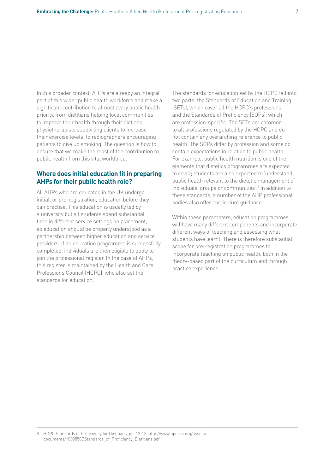In this broader context, AHPs are already an integral part of this wider public health workforce and make a significant contribution to almost every public health priority, from dietitians helping local communities to improve their health through their diet and physiotherapists supporting clients to increase their exercise levels, to radiographers encouraging patients to give up smoking. The question is how to ensure that we make the most of the contribution to public health from this vital workforce.

## **Where does initial education fit in preparing AHPs for their public health role?**

All AHPs who are educated in the UK undergo initial, or pre-registration, education before they can practise. This education is usually led by a university but all students spend substantial time in different service settings on placement, so education should be properly understood as a partnership between higher education and service providers. If an education programme is successfully completed, individuals are then eligible to apply to join the professional register. In the case of AHPs, this register is maintained by the Health and Care Professions Council (HCPC), who also set the standards for education.

The standards for education set by the HCPC fall into two parts, the Standards of Education and Training (SETs), which cover all the HCPC's professions and the Standards of Proficiency (SOPs), which are profession-specific. The SETs are common to all professions regulated by the HCPC and do not contain any overarching reference to public health. The SOPs differ by profession and some do contain expectations in relation to public health. For example, public health nutrition is one of the elements that dietetics programmes are expected to cover; students are also expected to 'understand public health relevant to the dietetic management of individuals, groups or communities'.<sup>8</sup> In addition to these standards, a number of the AHP professional bodies also offer curriculum guidance.

Within these parameters, education programmes will have many different components and incorporate different ways of teaching and assessing what students have learnt. There is therefore substantial scope for pre-registration programmes to incorporate teaching on public health, both in the theory-based part of the curriculum and through practice experience.

8 HCPC Standards of Proficiency for Dietitians, pp. 12-13. http://www.hpc-uk.org/assets/ documents/1000050CStandards\_of\_Proficiency\_Dietitians.pdf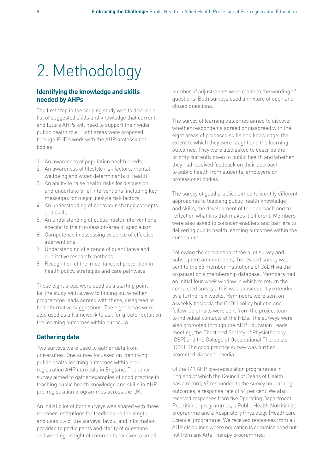## 2. Methodology

## **Identifying the knowledge and skills needed by AHPs**

The first step in the scoping study was to develop a list of suggested skills and knowledge that current and future AHPs will need to support their wider public health role. Eight areas were proposed through PHE's work with the AHP professional bodies:

- 1. An awareness of population health needs
- 2. An awareness of lifestyle risk factors, mental wellbeing and wider determinants of health
- 3. An ability to raise health risks for discussion and undertake brief interventions (including key messages for major lifestyle risk factors)
- 4. An understanding of behaviour change concepts and skills
- 5. An understanding of public health interventions specific to their profession/area of specialism
- 6. Competence in assessing evidence of effective interventions
- 7. Understanding of a range of quantitative and qualitative research methods
- 8. Recognition of the importance of prevention in health policy, strategies and care pathways

These eight areas were used as a starting point for the study, with a view to finding out whether programme leads agreed with these, disagreed or had alternative suggestions. The eight areas were also used as a framework to ask for greater detail on the learning outcomes within curricula.

### **Gathering data**

Two surveys were used to gather data from universities. One survey focussed on identifying public health learning outcomes within preregistration AHP curricula in England. The other survey aimed to gather examples of good practice in teaching public health knowledge and skills in AHP pre-registration programmes across the UK.

An initial pilot of both surveys was shared with three member institutions for feedback on the length and usability of the surveys, layout and information provided to participants and clarity of questions and wording. In light of comments received a small

number of adjustments were made to the wording of questions. Both surveys used a mixture of open and closed questions.

The survey of learning outcomes aimed to discover whether respondents agreed or disagreed with the eight areas of proposed skills and knowledge, the extent to which they were taught and the learning outcomes. They were also asked to describe the priority currently given to public health and whether they had received feedback on their approach to public health from students, employers or professional bodies.

The survey of good practice aimed to identify different approaches to teaching public health knowledge and skills, the development of the approach and to reflect on what it is that makes it different. Members were also asked to consider enablers and barriers to delivering public health learning outcomes within the curriculum.

Following the completion of the pilot survey and subsequent amendments, the revised survey was sent to the 85 member institutions of CoDH via the organisation's membership database. Members had an initial four week window in which to return the completed surveys, this was subsequently extended by a further six weeks. Reminders were sent on a weekly basis via the CoDH policy bulletin and follow-up emails were sent from the project team to individual contacts at the HEIs. The surveys were also promoted through the AHP Education Leads meeting, the Chartered Society of Physiotherapy (CSP) and the College of Occupational Therapists (COT). The good practice survey was further promoted via social media.

Of the 141 AHP pre-registration programmes in England of which the Council of Deans of Health has a record, 62 responded to the survey on learning outcomes, a response rate of 44 per cent. We also received responses from five Operating Department Practitioner programmes, a Public Health Nutritionist programme and a Respiratory Physiology (Healthcare Science) programme. We received responses from all AHP disciplines where education is commissioned but not from any Arts Therapy programmes.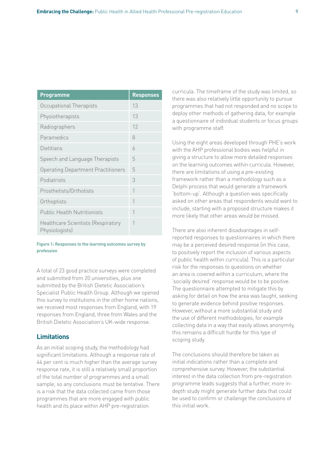| <b>Programme</b>                                            | <b>Responses</b> |
|-------------------------------------------------------------|------------------|
| Occupational Therapists                                     | 13               |
| Physiotherapists                                            | 13               |
| Radiographers                                               | 12               |
| Paramedics                                                  | 8                |
| Dietitians                                                  | 6                |
| Speech and Language Therapists                              | 5                |
| <b>Operating Department Practitioners</b>                   | 5                |
| Podiatrists                                                 | 3                |
| Prosthetists/Orthotists                                     | 1                |
| Orthoptists                                                 | 1                |
| <b>Public Health Nutritionists</b>                          | 1                |
| <b>Healthcare Scientists (Respiratory</b><br>Physiologists) |                  |

**Figure 1: Responses to the learning outcomes survey by profession**

A total of 23 good practice surveys were completed and submitted from 20 universities, plus one submitted by the British Dietetic Association's Specialist Public Health Group. Although we opened this survey to institutions in the other home nations, we received most responses from England, with 19 responses from England, three from Wales and the British Dietetic Association's UK-wide response.

## **Limitations**

As an initial scoping study, the methodology had significant limitations. Although a response rate of 44 per cent is much higher than the average survey response rate, it is still a relatively small proportion of the total number of programmes and a small sample, so any conclusions must be tentative. There is a risk that the data collected came from those programmes that are more engaged with public health and its place within AHP pre-registration

curricula. The timeframe of the study was limited, so there was also relatively little opportunity to pursue programmes that had not responded and no scope to deploy other methods of gathering data, for example a questionnaire of individual students or focus groups with programme staff.

Using the eight areas developed through PHE's work with the AHP professional bodies was helpful in giving a structure to allow more detailed responses on the learning outcomes within curricula. However, there are limitations of using a pre-existing framework rather than a methodology such as a Delphi process that would generate a framework 'bottom-up'. Although a question was specifically asked on other areas that respondents would want to include, starting with a proposed structure makes it more likely that other areas would be missed.

There are also inherent disadvantages in selfreported responses to questionnaires in which there may be a perceived desired response (in this case, to positively report the inclusion of various aspects of public health within curricula). This is a particular risk for the responses to questions on whether an area is covered within a curriculum, where the 'socially desired' response would be to be positive. The questionnaire attempted to mitigate this by asking for detail on how the area was taught, seeking to generate evidence behind positive responses. However, without a more substantial study and the use of different methodologies, for example collecting data in a way that easily allows anonymity, this remains a difficult hurdle for this type of scoping study.

The conclusions should therefore be taken as initial indications rather than a complete and comprehensive survey. However, the substantial interest in the data collection from pre-registration programme leads suggests that a further, more indepth study might generate further data that could be used to confirm or challenge the conclusions of this initial work.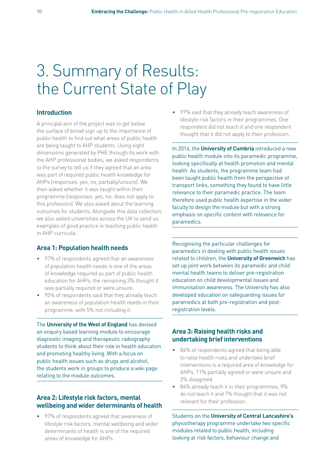## 3. Summary of Results: the Current State of Play

## **Introduction**

A principal aim of the project was to get below the surface of broad sign up to the importance of public health to find out what areas of public health are being taught to AHP students. Using eight dimensions generated by PHE through its work with the AHP professional bodies, we asked respondents to the survey to tell us if they agreed that an area was part of required public health knowledge for AHPs (responses: yes, no, partially/unsure). We then asked whether it was taught within their programme (responses: yes, no, does not apply to this profession). We also asked about the learning outcomes for students. Alongside this data collection, we also asked universities across the UK to send us examples of good practice in teaching public health in AHP curricula.

## **Area 1: Population health needs**

- • 97% of respondents agreed that an awareness of population health needs is one of the areas of knowledge required as part of public health education for AHPs; the remaining 3% thought it was partially required or were unsure.
- • 95% of respondents said that they already teach an awareness of population health needs in their programme, with 5% not including it.

The **University of the West of England** has devised an enquiry based learning module to encourage diagnostic imaging and therapeutic radiography students to think about their role in health education and promoting healthy living. With a focus on public health issues such as drugs and alcohol, the students work in groups to produce a wiki page relating to the module outcomes.

## **Area 2: Lifestyle risk factors, mental wellbeing and wider determinants of health**

• 97% of respondents agreed that awareness of lifestyle risk factors, mental wellbeing and wider determinants of health is one of the required areas of knowledge for AHPs.

97% said that they already teach awareness of lifestyle risk factors in their programmes. One respondent did not teach it and one respondent thought that it did not apply to their profession.

In 2014, the **University of Cumbria** introduced a new public health module into its paramedic programme, looking specifically at health promotion and mental health. As students, the programme team had been taught public health from the perspective of transport links, something they found to have little relevance to their paramedic practice. The team therefore used public health expertise in the wider faculty to design the module but with a strong emphasis on specific content with relevance for paramedics.

Recognising the particular challenges for paramedics in dealing with public health issues related to children, the **University of Greenwich** has set up joint work between its paramedic and child mental health teams to deliver pre-registration education on child developmental issues and immunisation awareness. The University has also developed education on safeguarding issues for paramedics at both pre-registration and postregistration levels.

## **Area 3: Raising health risks and undertaking brief interventions**

- 84% of respondents agreed that being able to raise health risks and undertake brief interventions is a required area of knowledge for AHPs. 11% partially agreed or were unsure and 3% disagreed.
- • 84% already teach it in their programmes, 9% do not teach it and 7% thought that it was not relevant for their profession.

Students on the **University of Central Lancashire's** physiotherapy programme undertake two specific modules related to public health, including looking at risk factors, behaviour change and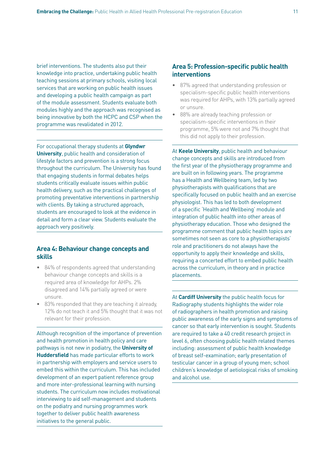brief interventions. The students also put their knowledge into practice, undertaking public health teaching sessions at primary schools, visiting local services that are working on public health issues and developing a public health campaign as part of the module assessment. Students evaluate both modules highly and the approach was recognised as being innovative by both the HCPC and CSP when the programme was revalidated in 2012.

For occupational therapy students at **Glyndwr University**, public health and consideration of lifestyle factors and prevention is a strong focus throughout the curriculum. The University has found that engaging students in formal debates helps students critically evaluate issues within public health delivery, such as the practical challenges of promoting preventative interventions in partnership with clients. By taking a structured approach, students are encouraged to look at the evidence in detail and form a clear view. Students evaluate the approach very positively.

## **Area 4: Behaviour change concepts and skills**

- 84% of respondents agreed that understanding behaviour change concepts and skills is a required area of knowledge for AHPs. 2% disagreed and 14% partially agreed or were unsure.
- 83% responded that they are teaching it already, 12% do not teach it and 5% thought that it was not relevant for their profession.

Although recognition of the importance of prevention and health promotion in health policy and care pathways is not new in podiatry, the **University of Huddersfield** has made particular efforts to work in partnership with employers and service users to embed this within the curriculum. This has included development of an expert patient reference group and more inter-professional learning with nursing students. The curriculum now includes motivational interviewing to aid self-management and students on the podiatry and nursing programmes work together to deliver public health awareness initiatives to the general public.

## **Area 5: Profession-specific public health interventions**

- • 87% agreed that understanding profession or specialism-specific public health interventions was required for AHPs, with 13% partially agreed or unsure.
- • 88% are already teaching profession or specialism-specific interventions in their programme, 5% were not and 7% thought that this did not apply to their profession.

At **Keele University**, public health and behaviour change concepts and skills are introduced from the first year of the physiotherapy programme and are built on in following years. The programme has a Health and Wellbeing team, led by two physiotherapists with qualifications that are specifically focused on public health and an exercise physiologist. This has led to both development of a specific 'Health and Wellbeing' module and integration of public health into other areas of physiotherapy education. Those who designed the programme comment that public health topics are sometimes not seen as core to a physiotherapists' role and practitioners do not always have the opportunity to apply their knowledge and skills, requiring a concerted effort to embed public health across the curriculum, in theory and in practice placements.

At **Cardiff University** the public health focus for Radiography students highlights the wider role of radiographers in health promotion and raising public awareness of the early signs and symptoms of cancer so that early intervention is sought. Students are required to take a 40 credit research project in level 6, often choosing public health related themes including: assessment of public health knowledge of breast self-examination; early presentation of testicular cancer in a group of young men; school children's knowledge of aetiological risks of smoking and alcohol use.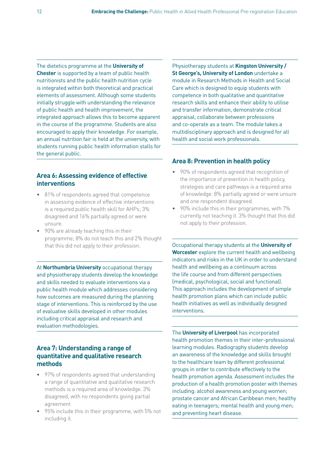The dietetics programme at the **University of** 

**Chester** is supported by a team of public health nutritionists and the public health nutrition cycle is integrated within both theoretical and practical elements of assessment. Although some students initially struggle with understanding the relevance of public health and health improvement, the integrated approach allows this to become apparent in the course of the programme. Students are also encouraged to apply their knowledge. For example, an annual nutrition fair is held at the university, with students running public health information stalls for the general public.

## **Area 6: Assessing evidence of effective interventions**

- • 81% of respondents agreed that competence in assessing evidence of effective interventions is a required public health skill for AHPs; 3% disagreed and 16% partially agreed or were unsure.
- • 90% are already teaching this in their programme; 8% do not teach this and 2% thought that this did not apply to their profession.

At **Northumbria University** occupational therapy and physiotherapy students develop the knowledge and skills needed to evaluate interventions via a public health module which addresses considering how outcomes are measured during the planning stage of interventions. This is reinforced by the use of evaluative skills developed in other modules including critical appraisal and research and evaluation methodologies.

## **Area 7: Understanding a range of quantitative and qualitative research methods**

- • 97% of respondents agreed that understanding a range of quantitative and qualitative research methods is a required area of knowledge. 3% disagreed, with no respondents giving partial agreement
- 95% include this in their programme, with 5% not including it.

Physiotherapy students at **Kingston University / St George's, University of London** undertake a module in Research Methods in Health and Social Care which is designed to equip students with competence in both qualitative and quantitative research skills and enhance their ability to utilise and transfer information, demonstrate critical appraisal, collaborate between professions and co-operate as a team. The module takes a multidisciplinary approach and is designed for all health and social work professionals.

## **Area 8: Prevention in health policy**

- 90% of respondents agreed that recognition of the importance of prevention in health policy, strategies and care pathways is a required area of knowledge. 8% partially agreed or were unsure and one respondent disagreed.
- • 90% include this in their programmes, with 7% currently not teaching it. 3% thought that this did not apply to their profession.

Occupational therapy students at the **University of Worcester** explore the current health and wellbeing indicators and risks in the UK in order to understand health and wellbeing as a continuum across the life course and from different perspectives (medical, psychological, social and functional). This approach includes the development of simple health promotion plans which can include public health initiatives as well as individually designed interventions.

The **University of Liverpool** has incorporated health promotion themes in their inter-professional learning modules. Radiography students develop an awareness of the knowledge and skills brought to the healthcare team by different professional groups in order to contribute effectively to the health promotion agenda. Assessment includes the production of a health promotion poster with themes including: alcohol awareness and young women; prostate cancer and African Caribbean men; healthy eating in teenagers; mental health and young men; and preventing heart disease.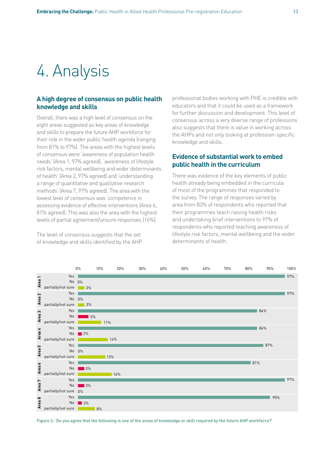## 4. Analysis

## **A high degree of consensus on public health knowledge and skills**

Overall, there was a high level of consensus on the eight areas suggested as key areas of knowledge and skills to prepare the future AHP workforce for their role in the wider public health agenda (ranging from 81% to 97%). The areas with the highest levels of consensus were 'awareness of population health needs' (Area 1, 97% agreed), 'awareness of lifestyle risk factors, mental wellbeing and wider determinants of health' (Area 2, 97% agreed) and 'understanding a range of quantitative and qualitative research methods' (Area 7, 97% agreed). The area with the lowest level of consensus was 'competence in assessing evidence of effective interventions (Area 6, 81% agreed). This was also the area with the highest levels of partial agreement/unsure responses (16%).

The level of consensus suggests that the set of knowledge and skills identified by the AHP

professional bodies working with PHE is credible with educators and that it could be used as a framework for further discussion and development. This level of consensus across a very diverse range of professions also suggests that there is value in working across the AHPs and not only looking at profession-specific knowledge and skills.

## **Evidence of substantial work to embed public health in the curriculum**

There was evidence of the key elements of public health already being embedded in the curricula of most of the programmes that responded to the survey. The range of responses varied by area from 83% of respondents who reported that their programmes teach raising health risks and undertaking brief interventions to 97% of respondents who reported teaching awareness of lifestyle risk factors, mental wellbeing and the wider determinants of health.



**Figure 2: 'Do you agree that the following is one of the areas of knowledge or skill required by the future AHP workforce?'**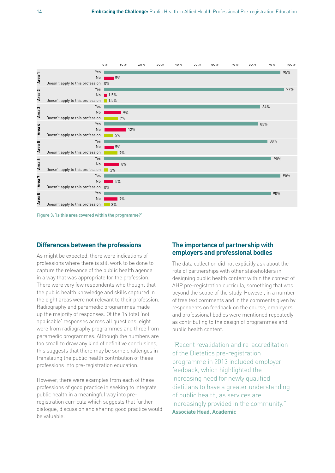



### **Differences between the professions**

As might be expected, there were indications of professions where there is still work to be done to capture the relevance of the public health agenda in a way that was appropriate for the profession. There were very few respondents who thought that the public health knowledge and skills captured in the eight areas were not relevant to their profession. Radiography and paramedic programmes made up the majority of responses. Of the 14 total 'not applicable' responses across all questions, eight were from radiography programmes and three from paramedic programmes. Although the numbers are too small to draw any kind of definitive conclusions, this suggests that there may be some challenges in translating the public health contribution of these professions into pre-registration education.

However, there were examples from each of these professions of good practice in seeking to integrate public health in a meaningful way into preregistration curricula which suggests that further dialogue, discussion and sharing good practice would be valuable.

## **The importance of partnership with employers and professional bodies**

The data collection did not explicitly ask about the role of partnerships with other stakeholders in designing public health content within the context of AHP pre-registration curricula, something that was beyond the scope of the study. However, in a number of free text comments and in the comments given by respondents on feedback on the course, employers and professional bodies were mentioned repeatedly as contributing to the design of programmes and public health content.

"Recent revalidation and re-accreditation of the Dietetics pre-registration programme in 2013 included employer feedback, which highlighted the increasing need for newly qualified dietitians to have a greater understanding of public health, as services are increasingly provided in the community." **Associate Head, Academic**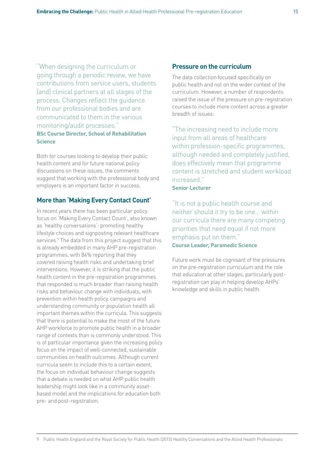"When designing the curriculum or going through a periodic review, we have contributions from service users, students [and] clinical partners at all stages of the process. Changes reflect the guidance from our professional bodies and are communicated to them in the various monitoring/audit processes." **BSc Course Director, School of Rehabilitation Science**

Both for courses looking to develop their public health content and for future national policy discussions on these issues, the comments suggest that working with the professional body and employers is an important factor in success.

## **More than 'Making Every Contact Count'**

In recent years there has been particular policy focus on 'Making Every Contact Count', also known as 'healthy conversations': promoting healthy lifestyle choices and signposting relevant healthcare services.<sup>9</sup> The data from this project suggest that this is already embedded in many AHP pre-registration programmes, with 84% reporting that they covered raising health risks and undertaking brief interventions. However, it is striking that the public health content in the pre-registration programmes that responded is much broader than raising health risks and behaviour change with individuals, with prevention within health policy, campaigns and understanding community or population health all important themes within the curricula. This suggests that there is potential to make the most of the future AHP workforce to promote public health in a broader range of contexts than is commonly understood. This is of particular importance given the increasing policy focus on the impact of well-connected, sustainable communities on health outcomes. Although current curricula seem to include this to a certain extent, the focus on individual behaviour change suggests that a debate is needed on what AHP public health leadership might look like in a community assetbased model and the implications for education both pre- and post-registration.

## **Pressure on the curriculum**

The data collection focused specifically on public health and not on the wider context of the curriculum. However, a number of respondents raised the issue of the pressure on pre-registration courses to include more content across a greater breadth of issues:

"The increasing need to include more input from all areas of healthcare within profession-specific programmes. although needed and completely justified, does effectively mean that programme content is stretched and student workload increased."

## **Senior Lecturer**

"It is not a public health course and neither should it try to be one… within our curricula there are many competing priorities that need equal if not more emphasis put on them." **Course Leader, Paramedic Science**

Future work must be cognisant of the pressures on the pre-registration curriculum and the role that education at other stages, particularly postregistration can play in helping develop AHPs' knowledge and skills in public health.

<sup>9</sup> Public Health England and the Royal Society for Public Health (2015) Healthy Conversations and the Allied Health Professionals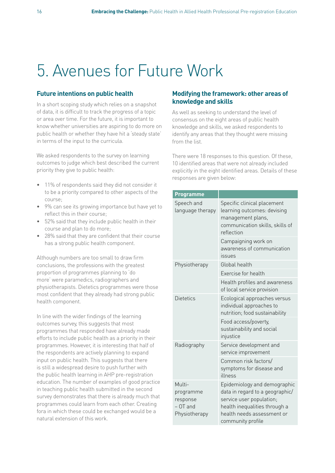## 5. Avenues for Future Work

## **Future intentions on public health**

In a short scoping study which relies on a snapshot of data, it is difficult to track the progress of a topic or area over time. For the future, it is important to know whether universities are aspiring to do more on public health or whether they have hit a 'steady state' in terms of the input to the curricula.

We asked respondents to the survey on learning outcomes to judge which best described the current priority they give to public health:

- 11% of respondents said they did not consider it to be a priority compared to other aspects of the course;
- 9% can see its growing importance but have yet to reflect this in their course;
- • 52% said that they include public health in their course and plan to do more;
- • 28% said that they are confident that their course has a strong public health component.

Although numbers are too small to draw firm conclusions, the professions with the greatest proportion of programmes planning to 'do more' were paramedics, radiographers and physiotherapists. Dietetics programmes were those most confident that they already had strong public health component.

In line with the wider findings of the learning outcomes survey, this suggests that most programmes that responded have already made efforts to include public health as a priority in their programmes. However, it is interesting that half of the respondents are actively planning to expand input on public health. This suggests that there is still a widespread desire to push further with the public health learning in AHP pre-registration education. The number of examples of good practice in teaching public health submitted in the second survey demonstrates that there is already much that programmes could learn from each other. Creating fora in which these could be exchanged would be a natural extension of this work.

## **Modifying the framework: other areas of knowledge and skills**

As well as seeking to understand the level of consensus on the eight areas of public health knowledge and skills, we asked respondents to identify any areas that they thought were missing from the list.

There were 18 responses to this question. Of these, 10 identified areas that were not already included explicitly in the eight identified areas. Details of these responses are given below:

| <b>Programme</b>                                             |                                                                                                                                                                                 |
|--------------------------------------------------------------|---------------------------------------------------------------------------------------------------------------------------------------------------------------------------------|
| Speech and<br>language therapy                               | Specific clinical placement<br>learning outcomes: devising<br>management plans,<br>communication skills, skills of<br>reflection                                                |
|                                                              | Campaigning work on<br>awareness of communication<br><i>issues</i>                                                                                                              |
| Physiotherapy                                                | Global health                                                                                                                                                                   |
|                                                              | Exercise for health                                                                                                                                                             |
|                                                              | Health profiles and awareness<br>of local service provision                                                                                                                     |
| <b>Dietetics</b>                                             | Ecological approaches versus<br>individual approaches to<br>nutrition; food sustainability                                                                                      |
|                                                              | Food access/poverty,<br>sustainability and social<br>injustice                                                                                                                  |
| Radiography                                                  | Service development and<br>service improvement                                                                                                                                  |
|                                                              | Common risk factors/<br>symptoms for disease and<br>illness                                                                                                                     |
| Multi-<br>programme<br>response<br>- OT and<br>Physiotherapy | Epidemiology and demographic<br>data in regard to a geographic/<br>service user population;<br>health inequalities through a<br>health needs assessment or<br>community profile |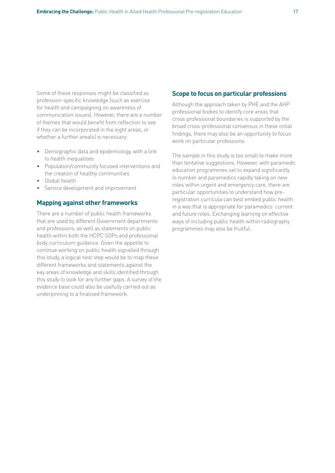Some of these responses might be classified as profession-specific knowledge (such as exercise for health and campaigning on awareness of communication issues). However, there are a number of themes that would benefit from reflection to see if they can be incorporated in the eight areas, or whether a further area(s) is necessary:

- Demographic data and epidemiology, with a link to health inequalities
- • Population/community focused interventions and the creation of healthy communities
- • Global health
- Service development and improvement

### **Mapping against other frameworks**

There are a number of public health frameworks that are used by different Government departments and professions, as well as statements on public health within both the HCPC SOPs and professional body curriculum guidance. Given the appetite to continue working on public health signalled through this study, a logical next step would be to map these different frameworks and statements against the key areas of knowledge and skills identified through this study to look for any further gaps. A survey of the evidence base could also be usefully carried out as underpinning to a finalised framework.

## **Scope to focus on particular professions**

Although the approach taken by PHE and the AHP professional bodies to identify core areas that cross professional boundaries is supported by the broad cross-professional consensus in these initial findings, there may also be an opportunity to focus work on particular professions.

The sample in this study is too small to make more than tentative suggestions. However, with paramedic education programmes set to expand significantly in number and paramedics rapidly taking on new roles within urgent and emergency care, there are particular opportunities to understand how preregistration curricula can best embed public health in a way that is appropriate for paramedics' current and future roles. Exchanging learning on effective ways of including public health within radiography programmes may also be fruitful.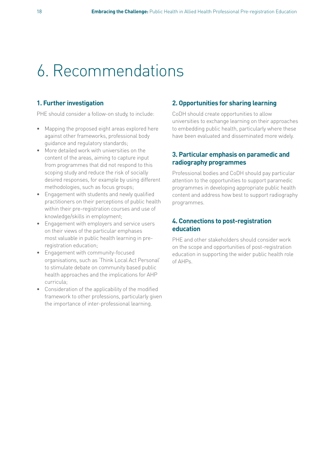## 6. Recommendations

## **1. Further investigation**

PHE should consider a follow-on study, to include:

- Mapping the proposed eight areas explored here against other frameworks, professional body guidance and regulatory standards;
- • More detailed work with universities on the content of the areas, aiming to capture input from programmes that did not respond to this scoping study and reduce the risk of socially desired responses, for example by using different methodologies, such as focus groups;
- • Engagement with students and newly qualified practitioners on their perceptions of public health within their pre-registration courses and use of knowledge/skills in employment;
- • Engagement with employers and service users on their views of the particular emphases most valuable in public health learning in preregistration education;
- • Engagement with community-focused organisations, such as 'Think Local Act Personal' to stimulate debate on community based public health approaches and the implications for AHP curricula;
- • Consideration of the applicability of the modified framework to other professions, particularly given the importance of inter-professional learning.

## **2. Opportunities for sharing learning**

CoDH should create opportunities to allow universities to exchange learning on their approaches to embedding public health, particularly where these have been evaluated and disseminated more widely.

## **3. Particular emphasis on paramedic and radiography programmes**

Professional bodies and CoDH should pay particular attention to the opportunities to support paramedic programmes in developing appropriate public health content and address how best to support radiography programmes.

## **4. Connections to post-registration education**

PHE and other stakeholders should consider work on the scope and opportunities of post-registration education in supporting the wider public health role of AHPs.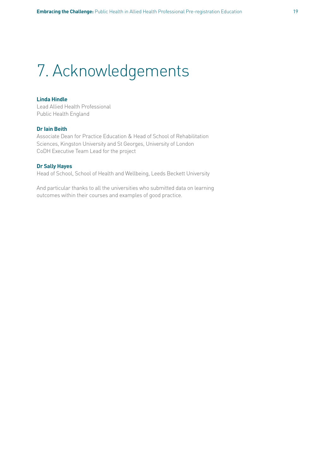## 7. Acknowledgements

#### **Linda Hindle**

Lead Allied Health Professional Public Health England

### **Dr Iain Beith**

Associate Dean for Practice Education & Head of School of Rehabilitation Sciences, Kingston University and St Georges, University of London CoDH Executive Team Lead for the project

#### **Dr Sally Hayes**

Head of School, School of Health and Wellbeing, Leeds Beckett University

And particular thanks to all the universities who submitted data on learning outcomes within their courses and examples of good practice.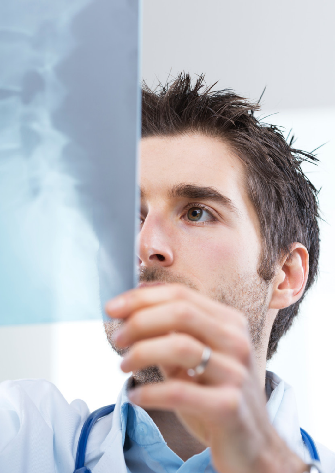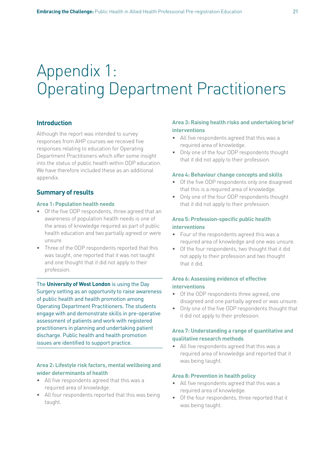# Appendix 1: Operating Department Practitioners

## **Introduction**

Although the report was intended to survey responses from AHP courses we received five responses relating to education for Operating Department Practitioners which offer some insight into the status of public health within ODP education. We have therefore included these as an additional appendix.

## **Summary of results**

#### **Area 1: Population health needs**

- • Of the five ODP respondents, three agreed that an awareness of population health needs is one of the areas of knowledge required as part of public health education and two partially agreed or were unsure.
- Three of the ODP respondents reported that this was taught, one reported that it was not taught and one thought that it did not apply to their profession.

The **University of West London** is using the Day Surgery setting as an opportunity to raise awareness of public health and health promotion among Operating Department Practitioners. The students engage with and demonstrate skills in pre-operative assessment of patients and work with registered practitioners in planning and undertaking patient discharge. Public health and health promotion issues are identified to support practice.

## **Area 2: Lifestyle risk factors, mental wellbeing and wider determinants of health**

- • All five respondents agreed that this was a required area of knowledge.
- All four respondents reported that this was being taught.

### **Area 3: Raising health risks and undertaking brief interventions**

- • All five respondents agreed that this was a required area of knowledge.
- • Only one of the four ODP respondents thought that it did not apply to their profession.

#### **Area 4: Behaviour change concepts and skills**

- Of the five ODP respondents only one disagreed that this is a required area of knowledge.
- • Only one of the four ODP respondents thought that it did not apply to their profession.

## **Area 5: Profession-specific public health interventions**

- • Four of the respondents agreed this was a required area of knowledge and one was unsure.
- • Of the four respondents, two thought that it did not apply to their profession and two thought that it did.

## **Area 6: Assessing evidence of effective interventions**

- • Of the ODP respondents three agreed, one disagreed and one partially agreed or was unsure.
- Only one of the five ODP respondents thought that it did not apply to their profession.

## **Area 7: Understanding a range of quantitative and qualitative research methods**

• All five respondents agreed that this was a required area of knowledge and reported that it was being taught.

#### **Area 8: Prevention in health policy**

- • All five respondents agreed that this was a required area of knowledge.
- Of the four respondents, three reported that it was being taught.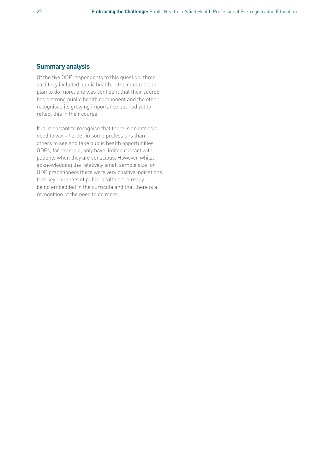## **Summary analysis**

Of the five ODP respondents to this question, three said they included public health in their course and plan to do more, one was confident that their course has a strong public health component and the other recognised its growing importance but had yet to reflect this in their course.

It is important to recognise that there is an intrinsic need to work harder in some professions than others to see and take public health opportunities: ODPs, for example, only have limited contact with patients when they are conscious. However, whilst acknowledging the relatively small sample size for ODP practitioners there were very positive indications that key elements of public health are already being embedded in the curricula and that there is a recognition of the need to do more.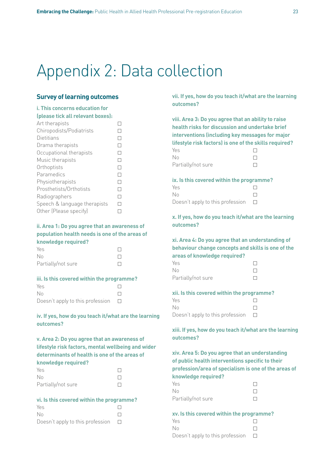## Appendix 2: Data collection

## **Survey of learning outcomes**

## **i. This concerns education for**

#### **(please tick all relevant boxes):**

| Art therapists               |                          |
|------------------------------|--------------------------|
| Chiropodists/Podiatrists     |                          |
| Dietitians                   |                          |
| Drama therapists             |                          |
| Occupational therapists      | $\mathsf{L}$             |
| Music therapists             | $\overline{\phantom{a}}$ |
| Orthoptists                  |                          |
| Paramedics                   |                          |
| Physiotherapists             | H                        |
| Prosthetists/Orthotists      | $\blacksquare$           |
| Radiographers                | - 1                      |
| Speech & language therapists |                          |
| Other (Please specify)       |                          |

## **ii. Area 1: Do you agree that an awareness of population health needs is one of the areas of knowledge required?**

| Yes                | $\Box$ |
|--------------------|--------|
| No                 | $\Box$ |
| Partially/not sure | TТ     |

#### **iii. Is this covered within the programme?**

| Yes                              |  |
|----------------------------------|--|
| No                               |  |
| Doesn't apply to this profession |  |

**iv. If yes, how do you teach it/what are the learning outcomes?**

## **v. Area 2: Do you agree that an awareness of lifestyle risk factors, mental wellbeing and wider determinants of health is one of the areas of knowledge required?**

| Yes                |  |
|--------------------|--|
| No                 |  |
| Partially/not sure |  |

#### **vi. Is this covered within the programme?**

| Yes                              | П      |
|----------------------------------|--------|
| No.                              | $\Box$ |
| Doesn't apply to this profession |        |

**vii. If yes, how do you teach it/what are the learning outcomes?**

**viii. Area 3: Do you agree that an ability to raise health risks for discussion and undertake brief interventions (including key messages for major lifestyle risk factors) is one of the skills required?** Yes  $\Box$ No  $\Box$ 

| IVU                |  |
|--------------------|--|
| Partially/not sure |  |

#### **ix. Is this covered within the programme?**

| Yes                                        |  |
|--------------------------------------------|--|
| Nο                                         |  |
| Doesn't apply to this profession $\square$ |  |

**x. If yes, how do you teach it/what are the learning outcomes?**

### **xi. Area 4: Do you agree that an understanding of behaviour change concepts and skills is one of the areas of knowledge required?**

| Yes                |        |
|--------------------|--------|
| Nο                 | $\Box$ |
| Partially/not sure | $\Box$ |

#### **xii. Is this covered within the programme?**

| Yes                                        |  |
|--------------------------------------------|--|
| Nο                                         |  |
| Doesn't apply to this profession $\square$ |  |

## **xiii. If yes, how do you teach it/what are the learning outcomes?**

## **xiv. Area 5: Do you agree that an understanding of public health interventions specific to their profession/area of specialism is one of the areas of knowledge required?**

| Yes                |  |
|--------------------|--|
| No                 |  |
| Partially/not sure |  |

#### **xv.Is this covered within the programme?**

| Yes                              |  |
|----------------------------------|--|
| No                               |  |
| Doesn't apply to this profession |  |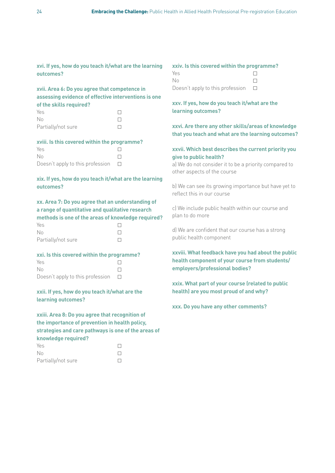**xvi. If yes, how do you teach it/what are the learning outcomes?**

| xvii. Area 6: Do you agree that competence in |                                                      |
|-----------------------------------------------|------------------------------------------------------|
|                                               | assessing evidence of effective interventions is one |
| of the skills required?                       |                                                      |
| Yes.                                          |                                                      |

 $\Box$  $\Box$ 

| $\sim$             |  |
|--------------------|--|
| No                 |  |
| Partially/not sure |  |

| xviii. Is this covered within the programme? |              |
|----------------------------------------------|--------------|
| Yes                                          |              |
| No                                           | $\mathbf{1}$ |
| Doesn't apply to this profession             |              |

**xix. If yes, how do you teach it/what are the learning outcomes?**

### **xx. Area 7: Do you agree that an understanding of a range of quantitative and qualitative research methods is one of the areas of knowledge required?**

| <u>the chods to one of che al cas of knowledge require</u> |  |
|------------------------------------------------------------|--|
| Yes                                                        |  |
| No                                                         |  |
| Partially/not sure                                         |  |

### **xxi. Is this covered within the programme?**

| Yes                              |  |
|----------------------------------|--|
| No                               |  |
| Doesn't apply to this profession |  |

**xxii. If yes, how do you teach it/what are the learning outcomes?**

**xxiii. Area 8: Do you agree that recognition of the importance of prevention in health policy, strategies and care pathways is one of the areas of knowledge required?**

| Yes                |  |
|--------------------|--|
| No                 |  |
| Partially/not sure |  |

#### **xxiv. Is this covered within the programme?** Yes  $\Box$ No  $\Box$ Doesn't apply to this profession  $\Box$

## **xxv. If yes, how do you teach it/what are the learning outcomes?**

## **xxvi. Are there any other skills/areas of knowledge that you teach and what are the learning outcomes?**

## **xxvii. Which best describes the current priority you give to public health?**

a) We do not consider it to be a priority compared to other aspects of the course

b) We can see its growing importance but have yet to reflect this in our course

c) We include public health within our course and plan to do more

d) We are confident that our course has a strong public health component

## **xxviii. What feedback have you had about the public health component of your course from students/ employers/professional bodies?**

**xxix. What part of your course (related to public health) are you most proud of and why?**

**xxx. Do you have any other comments?**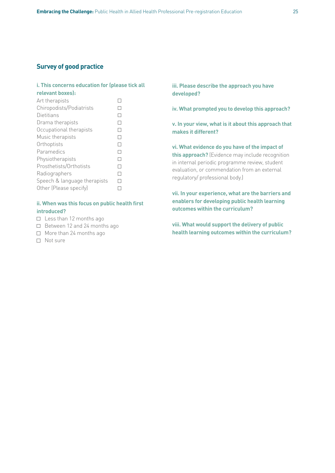## **Survey of good practice**

### **i. This concerns education for (please tick all relevant boxes):**

| - 1          |  |
|--------------|--|
| $\mathbf{I}$ |  |
| $\mathsf{L}$ |  |
| $\mathbf{I}$ |  |
| ΙI           |  |
| $\mathsf{L}$ |  |
| $\mathbf{I}$ |  |
| ΙI           |  |
| $\mathsf{L}$ |  |
| $\mathbf{I}$ |  |
|              |  |
|              |  |
|              |  |

## **ii. When was this focus on public health first introduced?**

- $\Box$  Less than 12 months ago
- $\Box$  Between 12 and 24 months ago
- $\Box$  More than 24 months ago
- Not sure

**iii. Please describe the approach you have developed?**

**iv. What prompted you to develop this approach?** 

**v. In your view, what is it about this approach that makes it different?**

**vi. What evidence do you have of the impact of this approach?** (Evidence may include recognition in internal periodic programme review, student evaluation, or commendation from an external regulatory/ professional body.)

**vii. In your experience, what are the barriers and enablers for developing public health learning outcomes within the curriculum?**

**viii. What would support the delivery of public health learning outcomes within the curriculum?**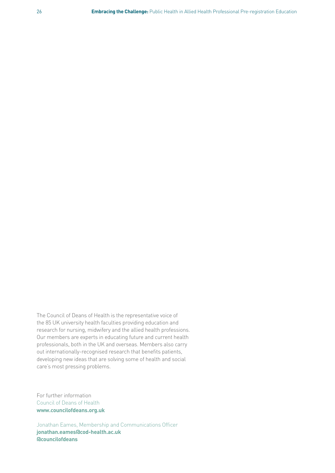The Council of Deans of Health is the representative voice of the 85 UK university health faculties providing education and research for nursing, midwifery and the allied health professions. Our members are experts in educating future and current health professionals, both in the UK and overseas. Members also carry out internationally-recognised research that benefits patients, developing new ideas that are solving some of health and social care's most pressing problems.

For further information Council of Deans of Health **www.councilofdeans.org.uk**

Jonathan Eames, Membership and Communications Officer **jonathan.eames@cod-health.ac.uk @councilofdeans**